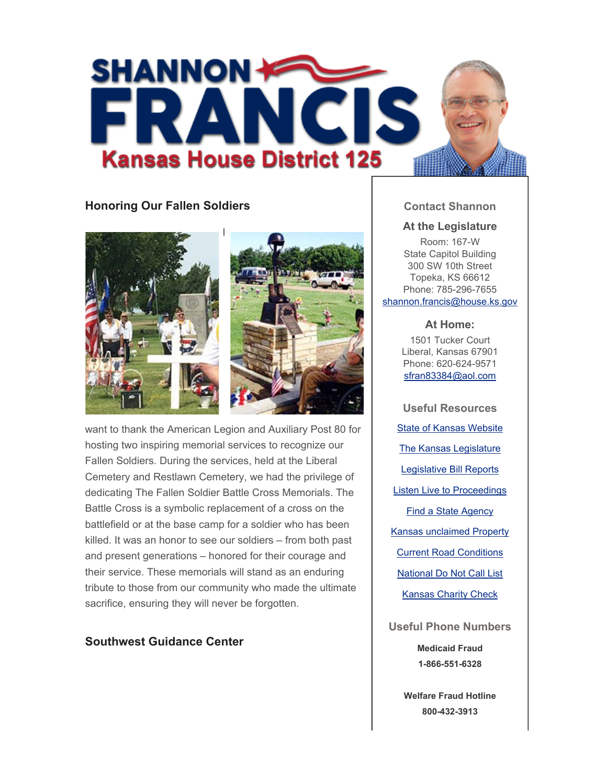

## **Honoring Our Fallen Soldiers**





want to thank the American Legion and Auxiliary Post 80 for hosting two inspiring memorial services to recognize our Fallen Soldiers. During the services, held at the Liberal Cemetery and Restlawn Cemetery, we had the privilege of dedicating The Fallen Soldier Battle Cross Memorials. The Battle Cross is a symbolic replacement of a cross on the battlefield or at the base camp for a soldier who has been killed. It was an honor to see our soldiers – from both past and present generations – honored for their courage and their service. These memorials will stand as an enduring tribute to those from our community who made the ultimate sacrifice, ensuring they will never be forgotten.

### **Southwest Guidance Center**

### **Contact Shannon**

#### **At the Legislature**

Room: 167-W State Capitol Building 300 SW 10th Street Topeka, KS 66612 Phone: 785-296-7655 shannon.francis@house.ks.gov

#### **At Home:**

1501 Tucker Court Liberal, Kansas 67901 Phone: 620-624-9571 sfran83384@aol.com

**Useful Resources** State of Kansas Website The Kansas Legislature Legislative Bill Reports Listen Live to Proceedings Find a State Agency Kansas unclaimed Property Current Road Conditions National Do Not Call List Kansas Charity Check

**Useful Phone Numbers**

**Medicaid Fraud 1-866-551-6328**

**Welfare Fraud Hotline 800-432-3913**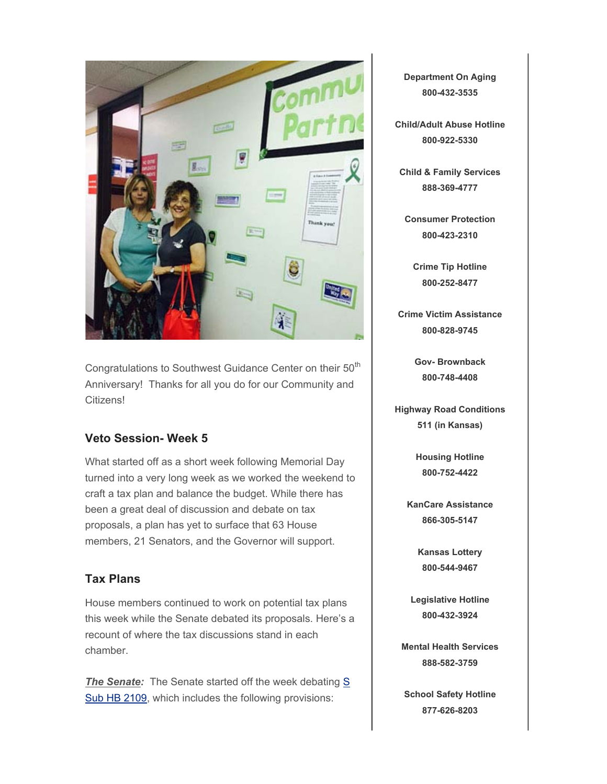

Congratulations to Southwest Guidance Center on their 50<sup>th</sup> Anniversary! Thanks for all you do for our Community and Citizens!

## **Veto Session- Week 5**

What started off as a short week following Memorial Day turned into a very long week as we worked the weekend to craft a tax plan and balance the budget. While there has been a great deal of discussion and debate on tax proposals, a plan has yet to surface that 63 House members, 21 Senators, and the Governor will support.

# **Tax Plans**

House members continued to work on potential tax plans this week while the Senate debated its proposals. Here's a recount of where the tax discussions stand in each chamber.

**The Senate:** The Senate started off the week debating S Sub HB 2109, which includes the following provisions:

**Department On Aging 800-432-3535**

**Child/Adult Abuse Hotline 800-922-5330**

**Child & Family Services 888-369-4777**

**Consumer Protection 800-423-2310**

**Crime Tip Hotline 800-252-8477**

**Crime Victim Assistance 800-828-9745**

> **Gov- Brownback 800-748-4408**

**Highway Road Conditions 511 (in Kansas)**

> **Housing Hotline 800-752-4422**

**KanCare Assistance 866-305-5147**

> **Kansas Lottery 800-544-9467**

**Legislative Hotline 800-432-3924**

**Mental Health Services 888-582-3759**

**School Safety Hotline 877-626-8203**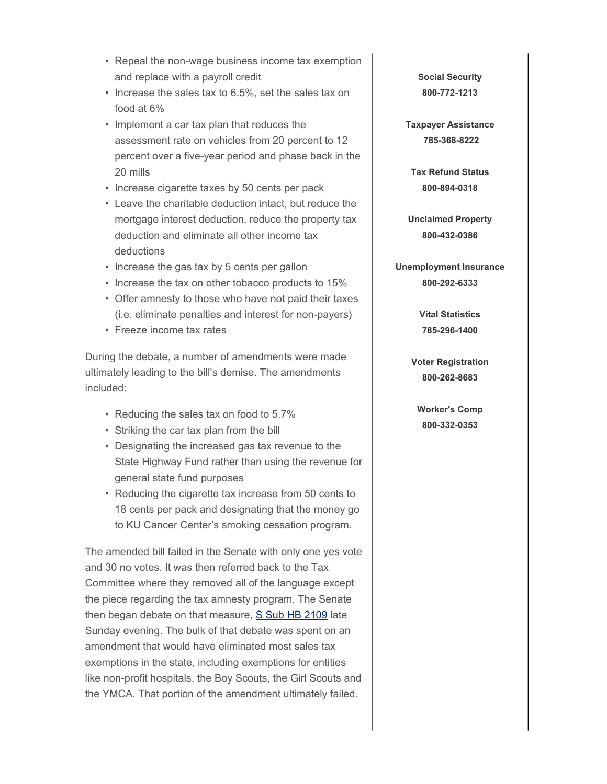- Repeal the non-wage business income tax exemption and replace with a payroll credit
- Increase the sales tax to 6.5%, set the sales tax on food at 6%
- Implement a car tax plan that reduces the assessment rate on vehicles from 20 percent to 12 percent over a five-year period and phase back in the 20 mills
- Increase cigarette taxes by 50 cents per pack
- Leave the charitable deduction intact, but reduce the mortgage interest deduction, reduce the property tax deduction and eliminate all other income tax deductions
- Increase the gas tax by 5 cents per gallon
- Increase the tax on other tobacco products to 15%
- Offer amnesty to those who have not paid their taxes (i.e. eliminate penalties and interest for non-payers)
- Freeze income tax rates

During the debate, a number of amendments were made ultimately leading to the bill's demise. The amendments included:

- Reducing the sales tax on food to 5.7%
- Striking the car tax plan from the bill
- Designating the increased gas tax revenue to the State Highway Fund rather than using the revenue for general state fund purposes
- Reducing the cigarette tax increase from 50 cents to 18 cents per pack and designating that the money go to KU Cancer Center's smoking cessation program.

The amended bill failed in the Senate with only one yes vote and 30 no votes. It was then referred back to the Tax Committee where they removed all of the language except the piece regarding the tax amnesty program. The Senate then began debate on that measure, S Sub HB 2109 late Sunday evening. The bulk of that debate was spent on an amendment that would have eliminated most sales tax exemptions in the state, including exemptions for entities like non-profit hospitals, the Boy Scouts, the Girl Scouts and the YMCA. That portion of the amendment ultimately failed.

**Social Security 800-772-1213**

**Taxpayer Assistance 785-368-8222**

**Tax Refund Status 800-894-0318**

**Unclaimed Property 800-432-0386**

**Unemployment Insurance 800-292-6333**

> **Vital Statistics 785-296-1400**

**Voter Registration 800-262-8683**

**Worker's Comp 800-332-0353**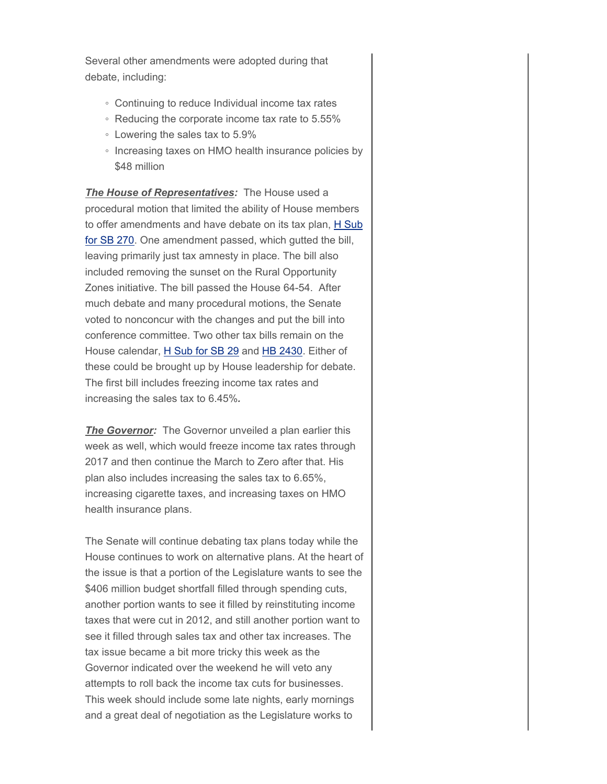Several other amendments were adopted during that debate, including:

- Continuing to reduce Individual income tax rates
- Reducing the corporate income tax rate to 5.55%
- Lowering the sales tax to 5.9%
- Increasing taxes on HMO health insurance policies by \$48 million

*The House of Representatives:* The House used a procedural motion that limited the ability of House members to offer amendments and have debate on its tax plan, H Sub for SB 270. One amendment passed, which gutted the bill, leaving primarily just tax amnesty in place. The bill also included removing the sunset on the Rural Opportunity Zones initiative. The bill passed the House 64-54. After much debate and many procedural motions, the Senate voted to nonconcur with the changes and put the bill into conference committee. Two other tax bills remain on the House calendar, H Sub for SB 29 and HB 2430. Either of these could be brought up by House leadership for debate. The first bill includes freezing income tax rates and increasing the sales tax to 6.45%*.*

**The Governor:** The Governor unveiled a plan earlier this week as well, which would freeze income tax rates through 2017 and then continue the March to Zero after that. His plan also includes increasing the sales tax to 6.65%, increasing cigarette taxes, and increasing taxes on HMO health insurance plans.

The Senate will continue debating tax plans today while the House continues to work on alternative plans. At the heart of the issue is that a portion of the Legislature wants to see the \$406 million budget shortfall filled through spending cuts, another portion wants to see it filled by reinstituting income taxes that were cut in 2012, and still another portion want to see it filled through sales tax and other tax increases. The tax issue became a bit more tricky this week as the Governor indicated over the weekend he will veto any attempts to roll back the income tax cuts for businesses. This week should include some late nights, early mornings and a great deal of negotiation as the Legislature works to